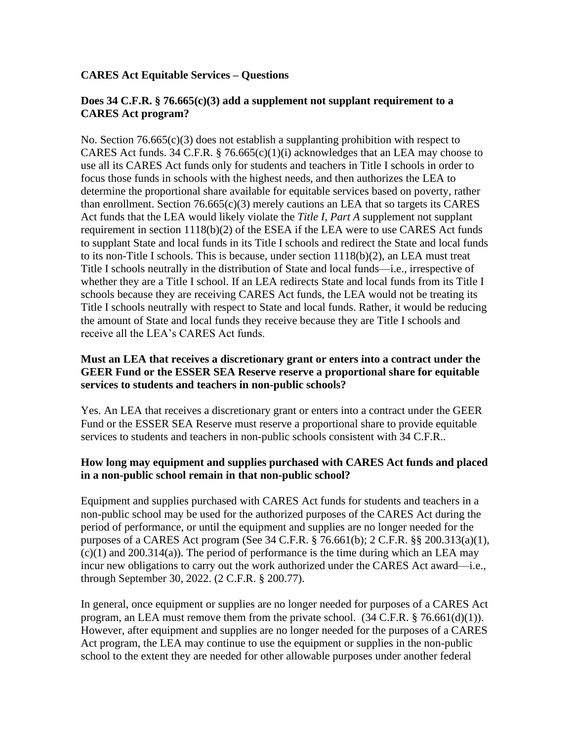## **CARES Act Equitable Services – Questions**

#### **Does 34 C.F.R. § 76.665(c)(3) add a supplement not supplant requirement to a CARES Act program?**

No. Section  $76.665(c)(3)$  does not establish a supplanting prohibition with respect to CARES Act funds. 34 C.F.R. § 76.665(c)(1)(i) acknowledges that an LEA may choose to use all its CARES Act funds only for students and teachers in Title I schools in order to focus those funds in schools with the highest needs, and then authorizes the LEA to determine the proportional share available for equitable services based on poverty, rather than enrollment. Section  $76.665(c)(3)$  merely cautions an LEA that so targets its CARES Act funds that the LEA would likely violate the *Title I, Part A* supplement not supplant requirement in section 1118(b)(2) of the ESEA if the LEA were to use CARES Act funds to supplant State and local funds in its Title I schools and redirect the State and local funds to its non-Title I schools. This is because, under section 1118(b)(2), an LEA must treat Title I schools neutrally in the distribution of State and local funds—i.e., irrespective of whether they are a Title I school. If an LEA redirects State and local funds from its Title I schools because they are receiving CARES Act funds, the LEA would not be treating its Title I schools neutrally with respect to State and local funds. Rather, it would be reducing the amount of State and local funds they receive because they are Title I schools and receive all the LEA's CARES Act funds.

#### **Must an LEA that receives a discretionary grant or enters into a contract under the GEER Fund or the ESSER SEA Reserve reserve a proportional share for equitable services to students and teachers in non-public schools?**

Yes. An LEA that receives a discretionary grant or enters into a contract under the GEER Fund or the ESSER SEA Reserve must reserve a proportional share to provide equitable services to students and teachers in non-public schools consistent with 34 C.F.R..

### **How long may equipment and supplies purchased with CARES Act funds and placed in a non-public school remain in that non-public school?**

Equipment and supplies purchased with CARES Act funds for students and teachers in a non-public school may be used for the authorized purposes of the CARES Act during the period of performance, or until the equipment and supplies are no longer needed for the purposes of a CARES Act program (See 34 C.F.R. § 76.661(b); 2 C.F.R. §§ 200.313(a)(1),  $(c)(1)$  and 200.314(a)). The period of performance is the time during which an LEA may incur new obligations to carry out the work authorized under the CARES Act award—i.e., through September 30, 2022. (2 C.F.R. § 200.77).

In general, once equipment or supplies are no longer needed for purposes of a CARES Act program, an LEA must remove them from the private school. (34 C.F.R. § 76.661(d)(1)). However, after equipment and supplies are no longer needed for the purposes of a CARES Act program, the LEA may continue to use the equipment or supplies in the non-public school to the extent they are needed for other allowable purposes under another federal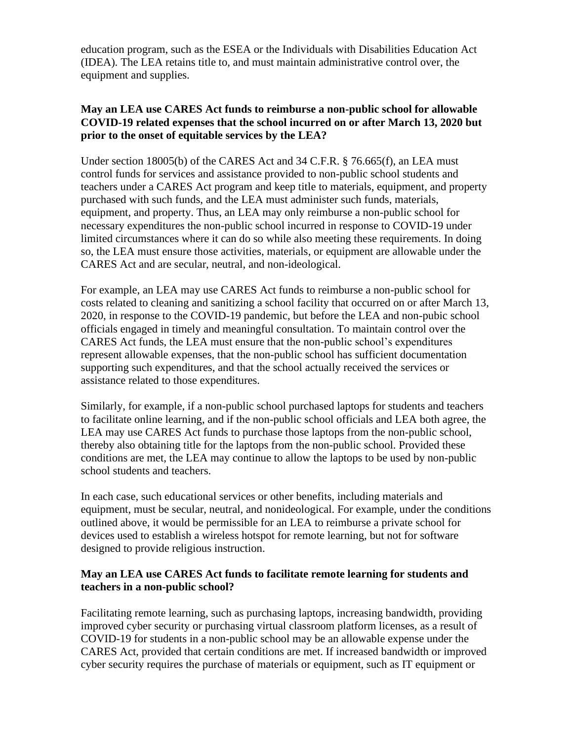education program, such as the ESEA or the Individuals with Disabilities Education Act (IDEA). The LEA retains title to, and must maintain administrative control over, the equipment and supplies.

## **May an LEA use CARES Act funds to reimburse a non-public school for allowable COVID-19 related expenses that the school incurred on or after March 13, 2020 but prior to the onset of equitable services by the LEA?**

Under section 18005(b) of the CARES Act and 34 C.F.R. § 76.665(f), an LEA must control funds for services and assistance provided to non-public school students and teachers under a CARES Act program and keep title to materials, equipment, and property purchased with such funds, and the LEA must administer such funds, materials, equipment, and property. Thus, an LEA may only reimburse a non-public school for necessary expenditures the non-public school incurred in response to COVID-19 under limited circumstances where it can do so while also meeting these requirements. In doing so, the LEA must ensure those activities, materials, or equipment are allowable under the CARES Act and are secular, neutral, and non-ideological.

For example, an LEA may use CARES Act funds to reimburse a non-public school for costs related to cleaning and sanitizing a school facility that occurred on or after March 13, 2020, in response to the COVID-19 pandemic, but before the LEA and non-pubic school officials engaged in timely and meaningful consultation. To maintain control over the CARES Act funds, the LEA must ensure that the non-public school's expenditures represent allowable expenses, that the non-public school has sufficient documentation supporting such expenditures, and that the school actually received the services or assistance related to those expenditures.

Similarly, for example, if a non-public school purchased laptops for students and teachers to facilitate online learning, and if the non-public school officials and LEA both agree, the LEA may use CARES Act funds to purchase those laptops from the non-public school, thereby also obtaining title for the laptops from the non-public school. Provided these conditions are met, the LEA may continue to allow the laptops to be used by non-public school students and teachers.

In each case, such educational services or other benefits, including materials and equipment, must be secular, neutral, and nonideological. For example, under the conditions outlined above, it would be permissible for an LEA to reimburse a private school for devices used to establish a wireless hotspot for remote learning, but not for software designed to provide religious instruction.

# **May an LEA use CARES Act funds to facilitate remote learning for students and teachers in a non-public school?**

Facilitating remote learning, such as purchasing laptops, increasing bandwidth, providing improved cyber security or purchasing virtual classroom platform licenses, as a result of COVID-19 for students in a non-public school may be an allowable expense under the CARES Act, provided that certain conditions are met. If increased bandwidth or improved cyber security requires the purchase of materials or equipment, such as IT equipment or